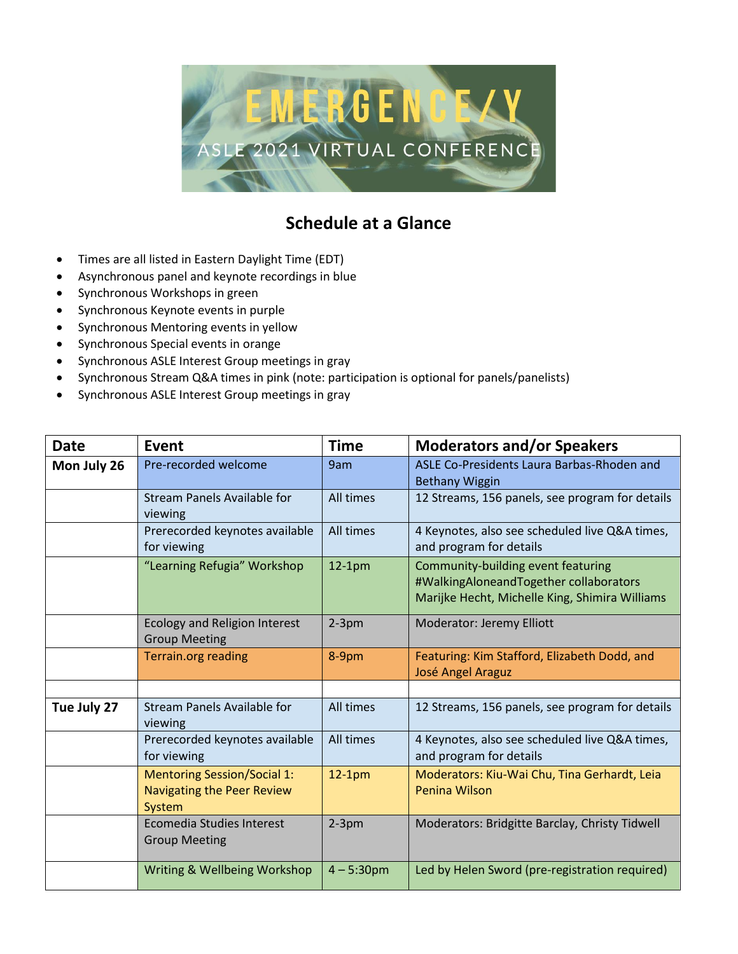

## **Schedule at a Glance**

- Times are all listed in Eastern Daylight Time (EDT)
- Asynchronous panel and keynote recordings in blue
- Synchronous Workshops in green
- Synchronous Keynote events in purple
- Synchronous Mentoring events in yellow
- Synchronous Special events in orange
- Synchronous ASLE Interest Group meetings in gray
- Synchronous Stream Q&A times in pink (note: participation is optional for panels/panelists)
- Synchronous ASLE Interest Group meetings in gray

| <b>Date</b> | Event                                                                             | <b>Time</b>  | <b>Moderators and/or Speakers</b>                                                                                              |
|-------------|-----------------------------------------------------------------------------------|--------------|--------------------------------------------------------------------------------------------------------------------------------|
| Mon July 26 | Pre-recorded welcome                                                              | 9am          | ASLE Co-Presidents Laura Barbas-Rhoden and<br><b>Bethany Wiggin</b>                                                            |
|             | <b>Stream Panels Available for</b><br>viewing                                     | All times    | 12 Streams, 156 panels, see program for details                                                                                |
|             | Prerecorded keynotes available<br>for viewing                                     | All times    | 4 Keynotes, also see scheduled live Q&A times,<br>and program for details                                                      |
|             | "Learning Refugia" Workshop                                                       | $12-1pm$     | Community-building event featuring<br>#WalkingAloneandTogether collaborators<br>Marijke Hecht, Michelle King, Shimira Williams |
|             | <b>Ecology and Religion Interest</b><br><b>Group Meeting</b>                      | $2-3$ pm     | Moderator: Jeremy Elliott                                                                                                      |
|             | <b>Terrain.org reading</b>                                                        | 8-9pm        | Featuring: Kim Stafford, Elizabeth Dodd, and<br>José Angel Araguz                                                              |
|             |                                                                                   |              |                                                                                                                                |
| Tue July 27 | <b>Stream Panels Available for</b><br>viewing                                     | All times    | 12 Streams, 156 panels, see program for details                                                                                |
|             | Prerecorded keynotes available<br>for viewing                                     | All times    | 4 Keynotes, also see scheduled live Q&A times,<br>and program for details                                                      |
|             | <b>Mentoring Session/Social 1:</b><br><b>Navigating the Peer Review</b><br>System | $12-1pm$     | Moderators: Kiu-Wai Chu, Tina Gerhardt, Leia<br>Penina Wilson                                                                  |
|             | Ecomedia Studies Interest<br><b>Group Meeting</b>                                 | $2-3pm$      | Moderators: Bridgitte Barclay, Christy Tidwell                                                                                 |
|             | Writing & Wellbeing Workshop                                                      | $4 - 5:30pm$ | Led by Helen Sword (pre-registration required)                                                                                 |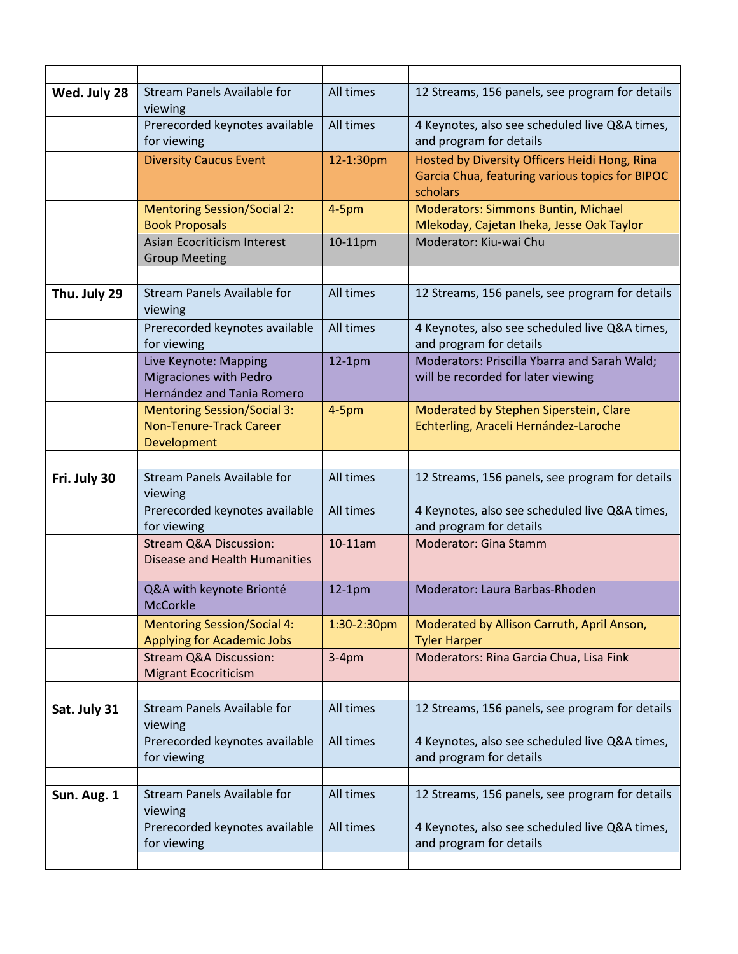| Wed. July 28 | <b>Stream Panels Available for</b><br>viewing                                        | All times   | 12 Streams, 156 panels, see program for details                                                              |
|--------------|--------------------------------------------------------------------------------------|-------------|--------------------------------------------------------------------------------------------------------------|
|              | Prerecorded keynotes available<br>for viewing                                        | All times   | 4 Keynotes, also see scheduled live Q&A times,<br>and program for details                                    |
|              | <b>Diversity Caucus Event</b>                                                        | 12-1:30pm   | Hosted by Diversity Officers Heidi Hong, Rina<br>Garcia Chua, featuring various topics for BIPOC<br>scholars |
|              | <b>Mentoring Session/Social 2:</b><br><b>Book Proposals</b>                          | $4-5pm$     | <b>Moderators: Simmons Buntin, Michael</b><br>Mlekoday, Cajetan Iheka, Jesse Oak Taylor                      |
|              | <b>Asian Ecocriticism Interest</b><br><b>Group Meeting</b>                           | 10-11pm     | Moderator: Kiu-wai Chu                                                                                       |
| Thu. July 29 | <b>Stream Panels Available for</b><br>viewing                                        | All times   | 12 Streams, 156 panels, see program for details                                                              |
|              | Prerecorded keynotes available<br>for viewing                                        | All times   | 4 Keynotes, also see scheduled live Q&A times,<br>and program for details                                    |
|              | Live Keynote: Mapping<br><b>Migraciones with Pedro</b><br>Hernández and Tania Romero | $12-1pm$    | Moderators: Priscilla Ybarra and Sarah Wald;<br>will be recorded for later viewing                           |
|              | <b>Mentoring Session/Social 3:</b><br><b>Non-Tenure-Track Career</b><br>Development  | $4-5pm$     | Moderated by Stephen Siperstein, Clare<br>Echterling, Araceli Hernández-Laroche                              |
| Fri. July 30 | <b>Stream Panels Available for</b><br>viewing                                        | All times   | 12 Streams, 156 panels, see program for details                                                              |
|              | Prerecorded keynotes available<br>for viewing                                        | All times   | 4 Keynotes, also see scheduled live Q&A times,<br>and program for details                                    |
|              | <b>Stream Q&amp;A Discussion:</b><br>Disease and Health Humanities                   | 10-11am     | Moderator: Gina Stamm                                                                                        |
|              | Q&A with keynote Brionté<br><b>McCorkle</b>                                          | $12-1pm$    | Moderator: Laura Barbas-Rhoden                                                                               |
|              | <b>Mentoring Session/Social 4:</b><br><b>Applying for Academic Jobs</b>              | 1:30-2:30pm | Moderated by Allison Carruth, April Anson,<br><b>Tyler Harper</b>                                            |
|              | <b>Stream Q&amp;A Discussion:</b><br><b>Migrant Ecocriticism</b>                     | $3-4pm$     | Moderators: Rina Garcia Chua, Lisa Fink                                                                      |
|              |                                                                                      |             |                                                                                                              |
| Sat. July 31 | <b>Stream Panels Available for</b><br>viewing                                        | All times   | 12 Streams, 156 panels, see program for details                                                              |
|              | Prerecorded keynotes available<br>for viewing                                        | All times   | 4 Keynotes, also see scheduled live Q&A times,<br>and program for details                                    |
|              |                                                                                      |             |                                                                                                              |
| Sun. Aug. 1  | <b>Stream Panels Available for</b><br>viewing                                        | All times   | 12 Streams, 156 panels, see program for details                                                              |
|              | Prerecorded keynotes available<br>for viewing                                        | All times   | 4 Keynotes, also see scheduled live Q&A times,<br>and program for details                                    |
|              |                                                                                      |             |                                                                                                              |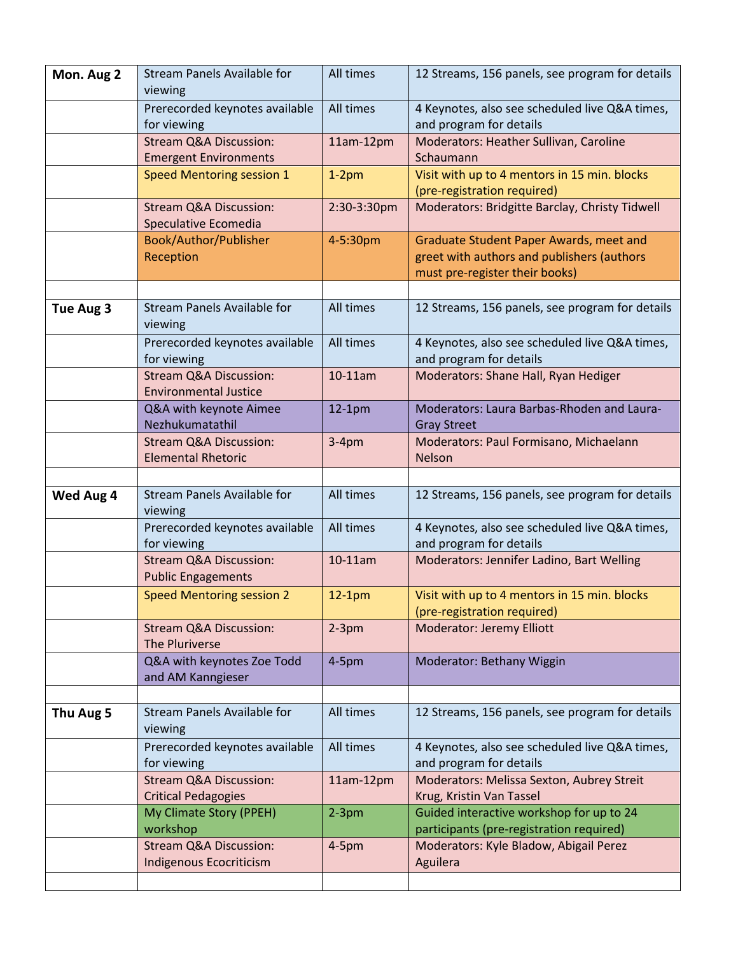| Mon. Aug 2 | <b>Stream Panels Available for</b><br>viewing                     | All times   | 12 Streams, 156 panels, see program for details                                                                         |
|------------|-------------------------------------------------------------------|-------------|-------------------------------------------------------------------------------------------------------------------------|
|            | Prerecorded keynotes available<br>for viewing                     | All times   | 4 Keynotes, also see scheduled live Q&A times,<br>and program for details                                               |
|            | <b>Stream Q&amp;A Discussion:</b><br><b>Emergent Environments</b> | 11am-12pm   | Moderators: Heather Sullivan, Caroline<br>Schaumann                                                                     |
|            | <b>Speed Mentoring session 1</b>                                  | $1-2pm$     | Visit with up to 4 mentors in 15 min. blocks<br>(pre-registration required)                                             |
|            | <b>Stream Q&amp;A Discussion:</b><br>Speculative Ecomedia         | 2:30-3:30pm | Moderators: Bridgitte Barclay, Christy Tidwell                                                                          |
|            | Book/Author/Publisher<br>Reception                                | 4-5:30pm    | Graduate Student Paper Awards, meet and<br>greet with authors and publishers (authors<br>must pre-register their books) |
|            |                                                                   |             |                                                                                                                         |
| Tue Aug 3  | <b>Stream Panels Available for</b><br>viewing                     | All times   | 12 Streams, 156 panels, see program for details                                                                         |
|            | Prerecorded keynotes available<br>for viewing                     | All times   | 4 Keynotes, also see scheduled live Q&A times,<br>and program for details                                               |
|            | <b>Stream Q&amp;A Discussion:</b><br><b>Environmental Justice</b> | 10-11am     | Moderators: Shane Hall, Ryan Hediger                                                                                    |
|            | Q&A with keynote Aimee<br>Nezhukumatathil                         | $12-1pm$    | Moderators: Laura Barbas-Rhoden and Laura-<br><b>Gray Street</b>                                                        |
|            | <b>Stream Q&amp;A Discussion:</b><br><b>Elemental Rhetoric</b>    | $3-4pm$     | Moderators: Paul Formisano, Michaelann<br><b>Nelson</b>                                                                 |
|            |                                                                   |             |                                                                                                                         |
| Wed Aug 4  | <b>Stream Panels Available for</b><br>viewing                     | All times   | 12 Streams, 156 panels, see program for details                                                                         |
|            | Prerecorded keynotes available<br>for viewing                     | All times   | 4 Keynotes, also see scheduled live Q&A times,<br>and program for details                                               |
|            | <b>Stream Q&amp;A Discussion:</b><br><b>Public Engagements</b>    | 10-11am     | Moderators: Jennifer Ladino, Bart Welling                                                                               |
|            | <b>Speed Mentoring session 2</b>                                  | $12-1pm$    | Visit with up to 4 mentors in 15 min. blocks<br>(pre-registration required)                                             |
|            | <b>Stream Q&amp;A Discussion:</b><br>The Pluriverse               | $2-3pm$     | <b>Moderator: Jeremy Elliott</b>                                                                                        |
|            | Q&A with keynotes Zoe Todd<br>and AM Kanngieser                   | $4-5pm$     | Moderator: Bethany Wiggin                                                                                               |
|            |                                                                   |             |                                                                                                                         |
| Thu Aug 5  | <b>Stream Panels Available for</b><br>viewing                     | All times   | 12 Streams, 156 panels, see program for details                                                                         |
|            | Prerecorded keynotes available<br>for viewing                     | All times   | 4 Keynotes, also see scheduled live Q&A times,<br>and program for details                                               |
|            | <b>Stream Q&amp;A Discussion:</b><br><b>Critical Pedagogies</b>   | 11am-12pm   | Moderators: Melissa Sexton, Aubrey Streit<br>Krug, Kristin Van Tassel                                                   |
|            | My Climate Story (PPEH)<br>workshop                               | $2-3pm$     | Guided interactive workshop for up to 24<br>participants (pre-registration required)                                    |
|            | <b>Stream Q&amp;A Discussion:</b><br>Indigenous Ecocriticism      | $4-5pm$     | Moderators: Kyle Bladow, Abigail Perez<br>Aguilera                                                                      |
|            |                                                                   |             |                                                                                                                         |